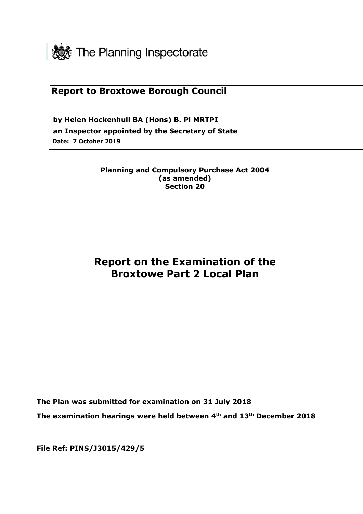

### **Report to Broxtowe Borough Council**

**by Helen Hockenhull BA (Hons) B. Pl MRTPI an Inspector appointed by the Secretary of State Date: 7 October 2019** 

#### **Planning and Compulsory Purchase Act 2004 (as amended) Section 20**

## **Report on the Examination of the Broxtowe Part 2 Local Plan**

**The Plan was submitted for examination on 31 July 2018**

**The examination hearings were held between 4th and 13th December 2018**

**File Ref: PINS/J3015/429/5**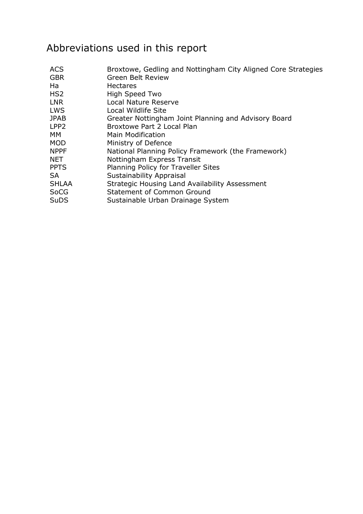# Abbreviations used in this report

| <b>ACS</b><br><b>GBR</b> | Broxtowe, Gedling and Nottingham City Aligned Core Strategies<br><b>Green Belt Review</b> |
|--------------------------|-------------------------------------------------------------------------------------------|
| Ha                       | <b>Hectares</b>                                                                           |
| HS <sub>2</sub>          | High Speed Two                                                                            |
| <b>LNR</b>               | <b>Local Nature Reserve</b>                                                               |
| <b>LWS</b>               | Local Wildlife Site                                                                       |
| <b>JPAB</b>              | Greater Nottingham Joint Planning and Advisory Board                                      |
| LPP <sub>2</sub>         | Broxtowe Part 2 Local Plan                                                                |
| MМ                       | <b>Main Modification</b>                                                                  |
| <b>MOD</b>               | Ministry of Defence                                                                       |
| <b>NPPF</b>              | National Planning Policy Framework (the Framework)                                        |
| <b>NET</b>               | Nottingham Express Transit                                                                |
| <b>PPTS</b>              | Planning Policy for Traveller Sites                                                       |
| <b>SA</b>                | Sustainability Appraisal                                                                  |
| <b>SHLAA</b>             | Strategic Housing Land Availability Assessment                                            |
| <b>SoCG</b>              | <b>Statement of Common Ground</b>                                                         |
| <b>SuDS</b>              | Sustainable Urban Drainage System                                                         |
|                          |                                                                                           |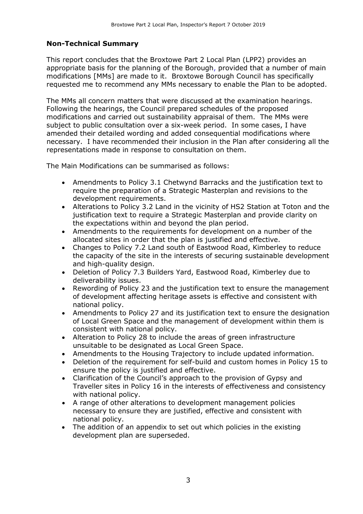#### **Non-Technical Summary**

This report concludes that the Broxtowe Part 2 Local Plan (LPP2) provides an appropriate basis for the planning of the Borough, provided that a number of main modifications [MMs] are made to it. Broxtowe Borough Council has specifically requested me to recommend any MMs necessary to enable the Plan to be adopted.

The MMs all concern matters that were discussed at the examination hearings. Following the hearings, the Council prepared schedules of the proposed modifications and carried out sustainability appraisal of them. The MMs were subject to public consultation over a six-week period. In some cases, I have amended their detailed wording and added consequential modifications where necessary. I have recommended their inclusion in the Plan after considering all the representations made in response to consultation on them.

The Main Modifications can be summarised as follows:

- Amendments to Policy 3.1 Chetwynd Barracks and the justification text to require the preparation of a Strategic Masterplan and revisions to the development requirements.
- Alterations to Policy 3.2 Land in the vicinity of HS2 Station at Toton and the justification text to require a Strategic Masterplan and provide clarity on the expectations within and beyond the plan period.
- Amendments to the requirements for development on a number of the allocated sites in order that the plan is justified and effective.
- Changes to Policy 7.2 Land south of Eastwood Road, Kimberley to reduce the capacity of the site in the interests of securing sustainable development and high-quality design.
- Deletion of Policy 7.3 Builders Yard, Eastwood Road, Kimberley due to deliverability issues.
- Rewording of Policy 23 and the justification text to ensure the management of development affecting heritage assets is effective and consistent with national policy.
- Amendments to Policy 27 and its justification text to ensure the designation of Local Green Space and the management of development within them is consistent with national policy.
- Alteration to Policy 28 to include the areas of green infrastructure unsuitable to be designated as Local Green Space.
- Amendments to the Housing Trajectory to include updated information.
- Deletion of the requirement for self-build and custom homes in Policy 15 to ensure the policy is justified and effective.
- Clarification of the Council's approach to the provision of Gypsy and Traveller sites in Policy 16 in the interests of effectiveness and consistency with national policy.
- A range of other alterations to development management policies necessary to ensure they are justified, effective and consistent with national policy.
- The addition of an appendix to set out which policies in the existing development plan are superseded.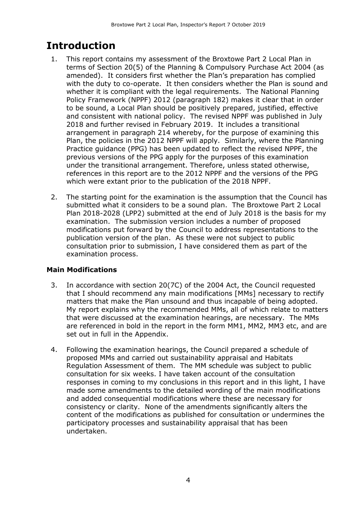# **Introduction**

- 1. This report contains my assessment of the Broxtowe Part 2 Local Plan in terms of Section 20(5) of the Planning & Compulsory Purchase Act 2004 (as amended). It considers first whether the Plan's preparation has complied with the duty to co-operate. It then considers whether the Plan is sound and whether it is compliant with the legal requirements. The National Planning Policy Framework (NPPF) 2012 (paragraph 182) makes it clear that in order to be sound, a Local Plan should be positively prepared, justified, effective and consistent with national policy. The revised NPPF was published in July 2018 and further revised in February 2019. It includes a transitional arrangement in paragraph 214 whereby, for the purpose of examining this Plan, the policies in the 2012 NPPF will apply. Similarly, where the Planning Practice guidance (PPG) has been updated to reflect the revised NPPF, the previous versions of the PPG apply for the purposes of this examination under the transitional arrangement. Therefore, unless stated otherwise, references in this report are to the 2012 NPPF and the versions of the PPG which were extant prior to the publication of the 2018 NPPF.
- 2. The starting point for the examination is the assumption that the Council has submitted what it considers to be a sound plan. The Broxtowe Part 2 Local Plan 2018-2028 (LPP2) submitted at the end of July 2018 is the basis for my examination. The submission version includes a number of proposed modifications put forward by the Council to address representations to the publication version of the plan. As these were not subject to public consultation prior to submission, I have considered them as part of the examination process.

### **Main Modifications**

- 3. In accordance with section 20(7C) of the 2004 Act, the Council requested that I should recommend any main modifications [MMs] necessary to rectify matters that make the Plan unsound and thus incapable of being adopted. My report explains why the recommended MMs, all of which relate to matters that were discussed at the examination hearings, are necessary. The MMs are referenced in bold in the report in the form MM1, MM2, MM3 etc, and are set out in full in the Appendix.
- 4. Following the examination hearings, the Council prepared a schedule of proposed MMs and carried out sustainability appraisal and Habitats Regulation Assessment of them. The MM schedule was subject to public consultation for six weeks. I have taken account of the consultation responses in coming to my conclusions in this report and in this light, I have made some amendments to the detailed wording of the main modifications and added consequential modifications where these are necessary for consistency or clarity. None of the amendments significantly alters the content of the modifications as published for consultation or undermines the participatory processes and sustainability appraisal that has been undertaken.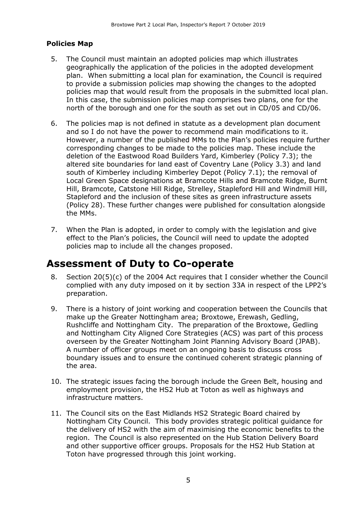#### **Policies Map**

- 5. The Council must maintain an adopted policies map which illustrates geographically the application of the policies in the adopted development plan. When submitting a local plan for examination, the Council is required to provide a submission policies map showing the changes to the adopted policies map that would result from the proposals in the submitted local plan. In this case, the submission policies map comprises two plans, one for the north of the borough and one for the south as set out in CD/05 and CD/06.
- 6. The policies map is not defined in statute as a development plan document and so I do not have the power to recommend main modifications to it. However, a number of the published MMs to the Plan's policies require further corresponding changes to be made to the policies map. These include the deletion of the Eastwood Road Builders Yard, Kimberley (Policy 7.3); the altered site boundaries for land east of Coventry Lane (Policy 3.3) and land south of Kimberley including Kimberley Depot (Policy 7.1); the removal of Local Green Space designations at Bramcote Hills and Bramcote Ridge, Burnt Hill, Bramcote, Catstone Hill Ridge, Strelley, Stapleford Hill and Windmill Hill, Stapleford and the inclusion of these sites as green infrastructure assets (Policy 28). These further changes were published for consultation alongside the MMs.
- 7. When the Plan is adopted, in order to comply with the legislation and give effect to the Plan's policies, the Council will need to update the adopted policies map to include all the changes proposed.

### **Assessment of Duty to Co-operate**

- 8. Section 20(5)(c) of the 2004 Act requires that I consider whether the Council complied with any duty imposed on it by section 33A in respect of the LPP2's preparation.
- 9. There is a history of joint working and cooperation between the Councils that make up the Greater Nottingham area; Broxtowe, Erewash, Gedling, Rushcliffe and Nottingham City. The preparation of the Broxtowe, Gedling and Nottingham City Aligned Core Strategies (ACS) was part of this process overseen by the Greater Nottingham Joint Planning Advisory Board (JPAB). A number of officer groups meet on an ongoing basis to discuss cross boundary issues and to ensure the continued coherent strategic planning of the area.
- 10. The strategic issues facing the borough include the Green Belt, housing and employment provision, the HS2 Hub at Toton as well as highways and infrastructure matters.
- 11. The Council sits on the East Midlands HS2 Strategic Board chaired by Nottingham City Council. This body provides strategic political guidance for the delivery of HS2 with the aim of maximising the economic benefits to the region. The Council is also represented on the Hub Station Delivery Board and other supportive officer groups. Proposals for the HS2 Hub Station at Toton have progressed through this joint working.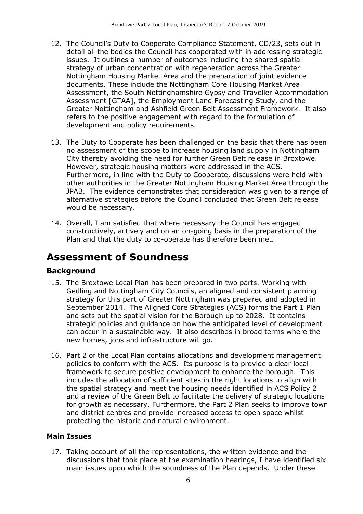- 12. The Council's Duty to Cooperate Compliance Statement, CD/23, sets out in detail all the bodies the Council has cooperated with in addressing strategic issues. It outlines a number of outcomes including the shared spatial strategy of urban concentration with regeneration across the Greater Nottingham Housing Market Area and the preparation of joint evidence documents. These include the Nottingham Core Housing Market Area Assessment, the South Nottinghamshire Gypsy and Traveller Accommodation Assessment [GTAA], the Employment Land Forecasting Study, and the Greater Nottingham and Ashfield Green Belt Assessment Framework. It also refers to the positive engagement with regard to the formulation of development and policy requirements.
- 13. The Duty to Cooperate has been challenged on the basis that there has been no assessment of the scope to increase housing land supply in Nottingham City thereby avoiding the need for further Green Belt release in Broxtowe. However, strategic housing matters were addressed in the ACS. Furthermore, in line with the Duty to Cooperate, discussions were held with other authorities in the Greater Nottingham Housing Market Area through the JPAB. The evidence demonstrates that consideration was given to a range of alternative strategies before the Council concluded that Green Belt release would be necessary.
- 14. Overall, I am satisfied that where necessary the Council has engaged constructively, actively and on an on-going basis in the preparation of the Plan and that the duty to co-operate has therefore been met.

### **Assessment of Soundness**

#### **Background**

- 15. The Broxtowe Local Plan has been prepared in two parts. Working with Gedling and Nottingham City Councils, an aligned and consistent planning strategy for this part of Greater Nottingham was prepared and adopted in September 2014. The Aligned Core Strategies (ACS) forms the Part 1 Plan and sets out the spatial vision for the Borough up to 2028. It contains strategic policies and guidance on how the anticipated level of development can occur in a sustainable way. It also describes in broad terms where the new homes, jobs and infrastructure will go.
- 16. Part 2 of the Local Plan contains allocations and development management policies to conform with the ACS. Its purpose is to provide a clear local framework to secure positive development to enhance the borough. This includes the allocation of sufficient sites in the right locations to align with the spatial strategy and meet the housing needs identified in ACS Policy 2 and a review of the Green Belt to facilitate the delivery of strategic locations for growth as necessary. Furthermore, the Part 2 Plan seeks to improve town and district centres and provide increased access to open space whilst protecting the historic and natural environment.

#### **Main Issues**

17. Taking account of all the representations, the written evidence and the discussions that took place at the examination hearings, I have identified six main issues upon which the soundness of the Plan depends. Under these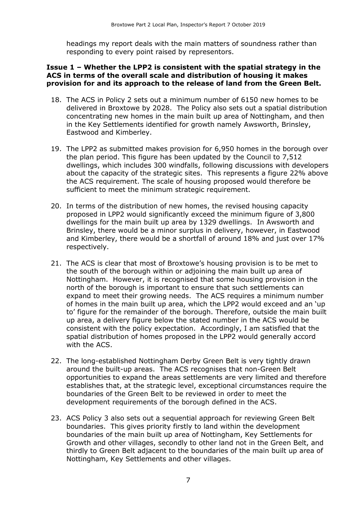headings my report deals with the main matters of soundness rather than responding to every point raised by representors.

#### **Issue 1 – Whether the LPP2 is consistent with the spatial strategy in the ACS in terms of the overall scale and distribution of housing it makes provision for and its approach to the release of land from the Green Belt.**

- 18. The ACS in Policy 2 sets out a minimum number of 6150 new homes to be delivered in Broxtowe by 2028. The Policy also sets out a spatial distribution concentrating new homes in the main built up area of Nottingham, and then in the Key Settlements identified for growth namely Awsworth, Brinsley, Eastwood and Kimberley.
- 19. The LPP2 as submitted makes provision for 6,950 homes in the borough over the plan period. This figure has been updated by the Council to 7,512 dwellings, which includes 300 windfalls, following discussions with developers about the capacity of the strategic sites. This represents a figure 22% above the ACS requirement. The scale of housing proposed would therefore be sufficient to meet the minimum strategic requirement.
- 20. In terms of the distribution of new homes, the revised housing capacity proposed in LPP2 would significantly exceed the minimum figure of 3,800 dwellings for the main built up area by 1329 dwellings. In Awsworth and Brinsley, there would be a minor surplus in delivery, however, in Eastwood and Kimberley, there would be a shortfall of around 18% and just over 17% respectively.
- 21. The ACS is clear that most of Broxtowe's housing provision is to be met to the south of the borough within or adjoining the main built up area of Nottingham. However, it is recognised that some housing provision in the north of the borough is important to ensure that such settlements can expand to meet their growing needs. The ACS requires a minimum number of homes in the main built up area, which the LPP2 would exceed and an 'up to' figure for the remainder of the borough. Therefore, outside the main built up area, a delivery figure below the stated number in the ACS would be consistent with the policy expectation. Accordingly, I am satisfied that the spatial distribution of homes proposed in the LPP2 would generally accord with the ACS.
- 22. The long-established Nottingham Derby Green Belt is very tightly drawn around the built-up areas. The ACS recognises that non-Green Belt opportunities to expand the areas settlements are very limited and therefore establishes that, at the strategic level, exceptional circumstances require the boundaries of the Green Belt to be reviewed in order to meet the development requirements of the borough defined in the ACS.
- 23. ACS Policy 3 also sets out a sequential approach for reviewing Green Belt boundaries. This gives priority firstly to land within the development boundaries of the main built up area of Nottingham, Key Settlements for Growth and other villages, secondly to other land not in the Green Belt, and thirdly to Green Belt adjacent to the boundaries of the main built up area of Nottingham, Key Settlements and other villages.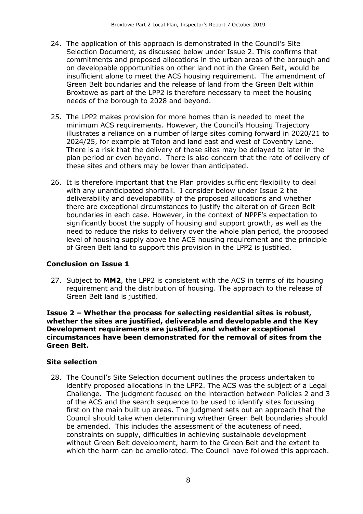- 24. The application of this approach is demonstrated in the Council's Site Selection Document, as discussed below under Issue 2. This confirms that commitments and proposed allocations in the urban areas of the borough and on developable opportunities on other land not in the Green Belt, would be insufficient alone to meet the ACS housing requirement. The amendment of Green Belt boundaries and the release of land from the Green Belt within Broxtowe as part of the LPP2 is therefore necessary to meet the housing needs of the borough to 2028 and beyond.
- 25. The LPP2 makes provision for more homes than is needed to meet the minimum ACS requirements. However, the Council's Housing Trajectory illustrates a reliance on a number of large sites coming forward in 2020/21 to 2024/25, for example at Toton and land east and west of Coventry Lane. There is a risk that the delivery of these sites may be delayed to later in the plan period or even beyond. There is also concern that the rate of delivery of these sites and others may be lower than anticipated.
- 26. It is therefore important that the Plan provides sufficient flexibility to deal with any unanticipated shortfall. I consider below under Issue 2 the deliverability and developability of the proposed allocations and whether there are exceptional circumstances to justify the alteration of Green Belt boundaries in each case. However, in the context of NPPF's expectation to significantly boost the supply of housing and support growth, as well as the need to reduce the risks to delivery over the whole plan period, the proposed level of housing supply above the ACS housing requirement and the principle of Green Belt land to support this provision in the LPP2 is justified.

#### **Conclusion on Issue 1**

27. Subject to **MM2**, the LPP2 is consistent with the ACS in terms of its housing requirement and the distribution of housing. The approach to the release of Green Belt land is justified.

#### **Issue 2 – Whether the process for selecting residential sites is robust, whether the sites are justified, deliverable and developable and the Key Development requirements are justified, and whether exceptional circumstances have been demonstrated for the removal of sites from the Green Belt.**

#### **Site selection**

28. The Council's Site Selection document outlines the process undertaken to identify proposed allocations in the LPP2. The ACS was the subject of a Legal Challenge. The judgment focused on the interaction between Policies 2 and 3 of the ACS and the search sequence to be used to identify sites focussing first on the main built up areas. The judgment sets out an approach that the Council should take when determining whether Green Belt boundaries should be amended. This includes the assessment of the acuteness of need, constraints on supply, difficulties in achieving sustainable development without Green Belt development, harm to the Green Belt and the extent to which the harm can be ameliorated. The Council have followed this approach.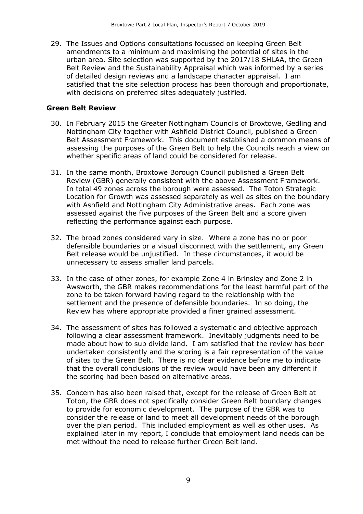29. The Issues and Options consultations focussed on keeping Green Belt amendments to a minimum and maximising the potential of sites in the urban area. Site selection was supported by the 2017/18 SHLAA, the Green Belt Review and the Sustainability Appraisal which was informed by a series of detailed design reviews and a landscape character appraisal. I am satisfied that the site selection process has been thorough and proportionate, with decisions on preferred sites adequately justified.

#### **Green Belt Review**

- 30. In February 2015 the Greater Nottingham Councils of Broxtowe, Gedling and Nottingham City together with Ashfield District Council, published a Green Belt Assessment Framework. This document established a common means of assessing the purposes of the Green Belt to help the Councils reach a view on whether specific areas of land could be considered for release.
- 31. In the same month, Broxtowe Borough Council published a Green Belt Review (GBR) generally consistent with the above Assessment Framework. In total 49 zones across the borough were assessed. The Toton Strategic Location for Growth was assessed separately as well as sites on the boundary with Ashfield and Nottingham City Administrative areas. Each zone was assessed against the five purposes of the Green Belt and a score given reflecting the performance against each purpose.
- 32. The broad zones considered vary in size. Where a zone has no or poor defensible boundaries or a visual disconnect with the settlement, any Green Belt release would be unjustified. In these circumstances, it would be unnecessary to assess smaller land parcels.
- 33. In the case of other zones, for example Zone 4 in Brinsley and Zone 2 in Awsworth, the GBR makes recommendations for the least harmful part of the zone to be taken forward having regard to the relationship with the settlement and the presence of defensible boundaries. In so doing, the Review has where appropriate provided a finer grained assessment.
- 34. The assessment of sites has followed a systematic and objective approach following a clear assessment framework. Inevitably judgments need to be made about how to sub divide land. I am satisfied that the review has been undertaken consistently and the scoring is a fair representation of the value of sites to the Green Belt. There is no clear evidence before me to indicate that the overall conclusions of the review would have been any different if the scoring had been based on alternative areas.
- 35. Concern has also been raised that, except for the release of Green Belt at Toton, the GBR does not specifically consider Green Belt boundary changes to provide for economic development. The purpose of the GBR was to consider the release of land to meet all development needs of the borough over the plan period. This included employment as well as other uses. As explained later in my report, I conclude that employment land needs can be met without the need to release further Green Belt land.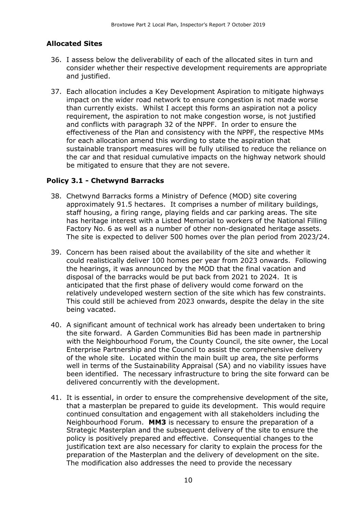#### **Allocated Sites**

- 36. I assess below the deliverability of each of the allocated sites in turn and consider whether their respective development requirements are appropriate and justified.
- 37. Each allocation includes a Key Development Aspiration to mitigate highways impact on the wider road network to ensure congestion is not made worse than currently exists. Whilst I accept this forms an aspiration not a policy requirement, the aspiration to not make congestion worse, is not justified and conflicts with paragraph 32 of the NPPF. In order to ensure the effectiveness of the Plan and consistency with the NPPF, the respective MMs for each allocation amend this wording to state the aspiration that sustainable transport measures will be fully utilised to reduce the reliance on the car and that residual cumulative impacts on the highway network should be mitigated to ensure that they are not severe.

#### **Policy 3.1 - Chetwynd Barracks**

- 38. Chetwynd Barracks forms a Ministry of Defence (MOD) site covering approximately 91.5 hectares. It comprises a number of military buildings, staff housing, a firing range, playing fields and car parking areas. The site has heritage interest with a Listed Memorial to workers of the National Filling Factory No. 6 as well as a number of other non-designated heritage assets. The site is expected to deliver 500 homes over the plan period from 2023/24.
- 39. Concern has been raised about the availability of the site and whether it could realistically deliver 100 homes per year from 2023 onwards. Following the hearings, it was announced by the MOD that the final vacation and disposal of the barracks would be put back from 2021 to 2024. It is anticipated that the first phase of delivery would come forward on the relatively undeveloped western section of the site which has few constraints. This could still be achieved from 2023 onwards, despite the delay in the site being vacated.
- 40. A significant amount of technical work has already been undertaken to bring the site forward. A Garden Communities Bid has been made in partnership with the Neighbourhood Forum, the County Council, the site owner, the Local Enterprise Partnership and the Council to assist the comprehensive delivery of the whole site. Located within the main built up area, the site performs well in terms of the Sustainability Appraisal (SA) and no viability issues have been identified. The necessary infrastructure to bring the site forward can be delivered concurrently with the development.
- 41. It is essential, in order to ensure the comprehensive development of the site, that a masterplan be prepared to guide its development. This would require continued consultation and engagement with all stakeholders including the Neighbourhood Forum. **MM3** is necessary to ensure the preparation of a Strategic Masterplan and the subsequent delivery of the site to ensure the policy is positively prepared and effective. Consequential changes to the justification text are also necessary for clarity to explain the process for the preparation of the Masterplan and the delivery of development on the site. The modification also addresses the need to provide the necessary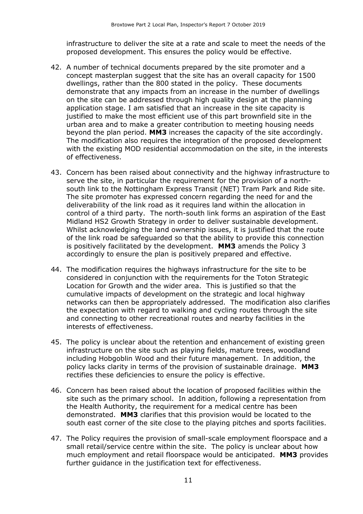infrastructure to deliver the site at a rate and scale to meet the needs of the proposed development. This ensures the policy would be effective.

- 42. A number of technical documents prepared by the site promoter and a concept masterplan suggest that the site has an overall capacity for 1500 dwellings, rather than the 800 stated in the policy. These documents demonstrate that any impacts from an increase in the number of dwellings on the site can be addressed through high quality design at the planning application stage. I am satisfied that an increase in the site capacity is justified to make the most efficient use of this part brownfield site in the urban area and to make a greater contribution to meeting housing needs beyond the plan period. **MM3** increases the capacity of the site accordingly. The modification also requires the integration of the proposed development with the existing MOD residential accommodation on the site, in the interests of effectiveness.
- 43. Concern has been raised about connectivity and the highway infrastructure to serve the site, in particular the requirement for the provision of a northsouth link to the Nottingham Express Transit (NET) Tram Park and Ride site. The site promoter has expressed concern regarding the need for and the deliverability of the link road as it requires land within the allocation in control of a third party. The north-south link forms an aspiration of the East Midland HS2 Growth Strategy in order to deliver sustainable development. Whilst acknowledging the land ownership issues, it is justified that the route of the link road be safeguarded so that the ability to provide this connection is positively facilitated by the development. **MM3** amends the Policy 3 accordingly to ensure the plan is positively prepared and effective.
- 44. The modification requires the highways infrastructure for the site to be considered in conjunction with the requirements for the Toton Strategic Location for Growth and the wider area. This is justified so that the cumulative impacts of development on the strategic and local highway networks can then be appropriately addressed. The modification also clarifies the expectation with regard to walking and cycling routes through the site and connecting to other recreational routes and nearby facilities in the interests of effectiveness.
- 45. The policy is unclear about the retention and enhancement of existing green infrastructure on the site such as playing fields, mature trees, woodland including Hobgoblin Wood and their future management. In addition, the policy lacks clarity in terms of the provision of sustainable drainage. **MM3** rectifies these deficiencies to ensure the policy is effective.
- 46. Concern has been raised about the location of proposed facilities within the site such as the primary school. In addition, following a representation from the Health Authority, the requirement for a medical centre has been demonstrated. **MM3** clarifies that this provision would be located to the south east corner of the site close to the playing pitches and sports facilities.
- 47. The Policy requires the provision of small-scale employment floorspace and a small retail/service centre within the site. The policy is unclear about how much employment and retail floorspace would be anticipated. **MM3** provides further guidance in the justification text for effectiveness.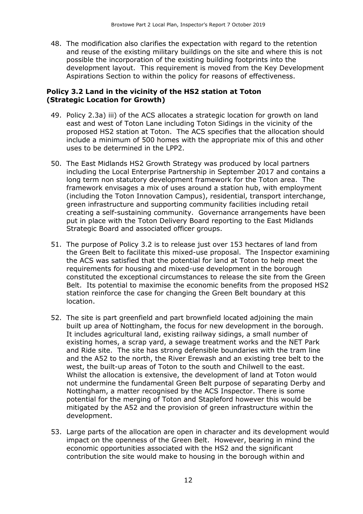48. The modification also clarifies the expectation with regard to the retention and reuse of the existing military buildings on the site and where this is not possible the incorporation of the existing building footprints into the development layout. This requirement is moved from the Key Development Aspirations Section to within the policy for reasons of effectiveness.

#### **Policy 3.2 Land in the vicinity of the HS2 station at Toton (Strategic Location for Growth)**

- 49. Policy 2.3a) iii) of the ACS allocates a strategic location for growth on land east and west of Toton Lane including Toton Sidings in the vicinity of the proposed HS2 station at Toton. The ACS specifies that the allocation should include a minimum of 500 homes with the appropriate mix of this and other uses to be determined in the LPP2.
- 50. The East Midlands HS2 Growth Strategy was produced by local partners including the Local Enterprise Partnership in September 2017 and contains a long term non statutory development framework for the Toton area. The framework envisages a mix of uses around a station hub, with employment (including the Toton Innovation Campus), residential, transport interchange, green infrastructure and supporting community facilities including retail creating a self-sustaining community. Governance arrangements have been put in place with the Toton Delivery Board reporting to the East Midlands Strategic Board and associated officer groups.
- 51. The purpose of Policy 3.2 is to release just over 153 hectares of land from the Green Belt to facilitate this mixed-use proposal. The Inspector examining the ACS was satisfied that the potential for land at Toton to help meet the requirements for housing and mixed-use development in the borough constituted the exceptional circumstances to release the site from the Green Belt. Its potential to maximise the economic benefits from the proposed HS2 station reinforce the case for changing the Green Belt boundary at this location.
- 52. The site is part greenfield and part brownfield located adjoining the main built up area of Nottingham, the focus for new development in the borough. It includes agricultural land, existing railway sidings, a small number of existing homes, a scrap yard, a sewage treatment works and the NET Park and Ride site. The site has strong defensible boundaries with the tram line and the A52 to the north, the River Erewash and an existing tree belt to the west, the built-up areas of Toton to the south and Chilwell to the east. Whilst the allocation is extensive, the development of land at Toton would not undermine the fundamental Green Belt purpose of separating Derby and Nottingham, a matter recognised by the ACS Inspector. There is some potential for the merging of Toton and Stapleford however this would be mitigated by the A52 and the provision of green infrastructure within the development.
- 53. Large parts of the allocation are open in character and its development would impact on the openness of the Green Belt. However, bearing in mind the economic opportunities associated with the HS2 and the significant contribution the site would make to housing in the borough within and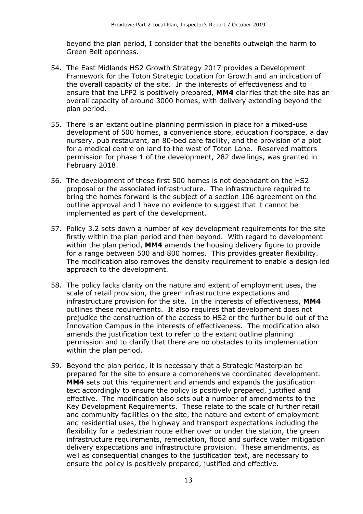beyond the plan period, I consider that the benefits outweigh the harm to Green Belt openness.

- 54. The East Midlands HS2 Growth Strategy 2017 provides a Development Framework for the Toton Strategic Location for Growth and an indication of the overall capacity of the site. In the interests of effectiveness and to ensure that the LPP2 is positively prepared, **MM4** clarifies that the site has an overall capacity of around 3000 homes, with delivery extending beyond the plan period.
- 55. There is an extant outline planning permission in place for a mixed-use development of 500 homes, a convenience store, education floorspace, a day nursery, pub restaurant, an 80-bed care facility, and the provision of a plot for a medical centre on land to the west of Toton Lane. Reserved matters permission for phase 1 of the development, 282 dwellings, was granted in February 2018.
- 56. The development of these first 500 homes is not dependant on the HS2 proposal or the associated infrastructure. The infrastructure required to bring the homes forward is the subject of a section 106 agreement on the outline approval and I have no evidence to suggest that it cannot be implemented as part of the development.
- 57. Policy 3.2 sets down a number of key development requirements for the site firstly within the plan period and then beyond. With regard to development within the plan period, **MM4** amends the housing delivery figure to provide for a range between 500 and 800 homes. This provides greater flexibility. The modification also removes the density requirement to enable a design led approach to the development.
- 58. The policy lacks clarity on the nature and extent of employment uses, the scale of retail provision, the green infrastructure expectations and infrastructure provision for the site. In the interests of effectiveness, **MM4**  outlines these requirements. It also requires that development does not prejudice the construction of the access to HS2 or the further build out of the Innovation Campus in the interests of effectiveness. The modification also amends the justification text to refer to the extant outline planning permission and to clarify that there are no obstacles to its implementation within the plan period.
- 59. Beyond the plan period, it is necessary that a Strategic Masterplan be prepared for the site to ensure a comprehensive coordinated development. **MM4** sets out this requirement and amends and expands the justification text accordingly to ensure the policy is positively prepared, justified and effective. The modification also sets out a number of amendments to the Key Development Requirements. These relate to the scale of further retail and community facilities on the site, the nature and extent of employment and residential uses, the highway and transport expectations including the flexibility for a pedestrian route either over or under the station, the green infrastructure requirements, remediation, flood and surface water mitigation delivery expectations and infrastructure provision. These amendments, as well as consequential changes to the justification text, are necessary to ensure the policy is positively prepared, justified and effective.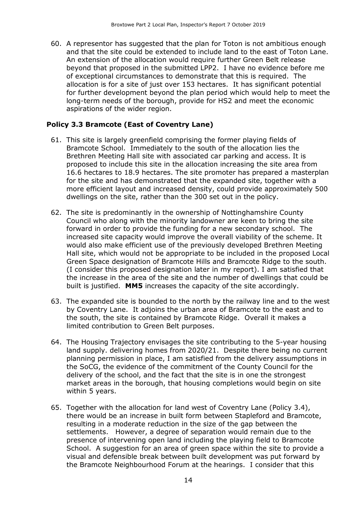60. A representor has suggested that the plan for Toton is not ambitious enough and that the site could be extended to include land to the east of Toton Lane. An extension of the allocation would require further Green Belt release beyond that proposed in the submitted LPP2. I have no evidence before me of exceptional circumstances to demonstrate that this is required. The allocation is for a site of just over 153 hectares. It has significant potential for further development beyond the plan period which would help to meet the long-term needs of the borough, provide for HS2 and meet the economic aspirations of the wider region.

#### **Policy 3.3 Bramcote (East of Coventry Lane)**

- 61. This site is largely greenfield comprising the former playing fields of Bramcote School. Immediately to the south of the allocation lies the Brethren Meeting Hall site with associated car parking and access. It is proposed to include this site in the allocation increasing the site area from 16.6 hectares to 18.9 hectares. The site promoter has prepared a masterplan for the site and has demonstrated that the expanded site, together with a more efficient layout and increased density, could provide approximately 500 dwellings on the site, rather than the 300 set out in the policy.
- 62. The site is predominantly in the ownership of Nottinghamshire County Council who along with the minority landowner are keen to bring the site forward in order to provide the funding for a new secondary school. The increased site capacity would improve the overall viability of the scheme. It would also make efficient use of the previously developed Brethren Meeting Hall site, which would not be appropriate to be included in the proposed Local Green Space designation of Bramcote Hills and Bramcote Ridge to the south. (I consider this proposed designation later in my report). I am satisfied that the increase in the area of the site and the number of dwellings that could be built is justified. **MM5** increases the capacity of the site accordingly.
- 63. The expanded site is bounded to the north by the railway line and to the west by Coventry Lane. It adjoins the urban area of Bramcote to the east and to the south, the site is contained by Bramcote Ridge. Overall it makes a limited contribution to Green Belt purposes.
- 64. The Housing Trajectory envisages the site contributing to the 5-year housing land supply. delivering homes from 2020/21. Despite there being no current planning permission in place, I am satisfied from the delivery assumptions in the SoCG, the evidence of the commitment of the County Council for the delivery of the school, and the fact that the site is in one the strongest market areas in the borough, that housing completions would begin on site within 5 years.
- 65. Together with the allocation for land west of Coventry Lane (Policy 3.4), there would be an increase in built form between Stapleford and Bramcote, resulting in a moderate reduction in the size of the gap between the settlements. However, a degree of separation would remain due to the presence of intervening open land including the playing field to Bramcote School. A suggestion for an area of green space within the site to provide a visual and defensible break between built development was put forward by the Bramcote Neighbourhood Forum at the hearings. I consider that this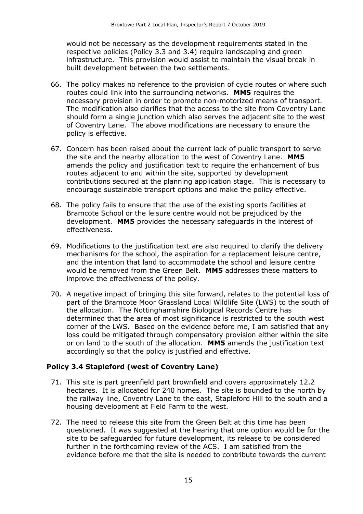would not be necessary as the development requirements stated in the respective policies (Policy 3.3 and 3.4) require landscaping and green infrastructure. This provision would assist to maintain the visual break in built development between the two settlements.

- 66. The policy makes no reference to the provision of cycle routes or where such routes could link into the surrounding networks. **MM5** requires the necessary provision in order to promote non-motorized means of transport. The modification also clarifies that the access to the site from Coventry Lane should form a single junction which also serves the adjacent site to the west of Coventry Lane. The above modifications are necessary to ensure the policy is effective.
- 67. Concern has been raised about the current lack of public transport to serve the site and the nearby allocation to the west of Coventry Lane. **MM5** amends the policy and justification text to require the enhancement of bus routes adjacent to and within the site, supported by development contributions secured at the planning application stage. This is necessary to encourage sustainable transport options and make the policy effective.
- 68. The policy fails to ensure that the use of the existing sports facilities at Bramcote School or the leisure centre would not be prejudiced by the development. **MM5** provides the necessary safeguards in the interest of effectiveness.
- 69. Modifications to the justification text are also required to clarify the delivery mechanisms for the school, the aspiration for a replacement leisure centre, and the intention that land to accommodate the school and leisure centre would be removed from the Green Belt. **MM5** addresses these matters to improve the effectiveness of the policy.
- 70. A negative impact of bringing this site forward, relates to the potential loss of part of the Bramcote Moor Grassland Local Wildlife Site (LWS) to the south of the allocation. The Nottinghamshire Biological Records Centre has determined that the area of most significance is restricted to the south west corner of the LWS. Based on the evidence before me, I am satisfied that any loss could be mitigated through compensatory provision either within the site or on land to the south of the allocation. **MM5** amends the justification text accordingly so that the policy is justified and effective.

#### **Policy 3.4 Stapleford (west of Coventry Lane)**

- 71. This site is part greenfield part brownfield and covers approximately 12.2 hectares. It is allocated for 240 homes. The site is bounded to the north by the railway line, Coventry Lane to the east, Stapleford Hill to the south and a housing development at Field Farm to the west.
- 72. The need to release this site from the Green Belt at this time has been questioned. It was suggested at the hearing that one option would be for the site to be safeguarded for future development, its release to be considered further in the forthcoming review of the ACS. I am satisfied from the evidence before me that the site is needed to contribute towards the current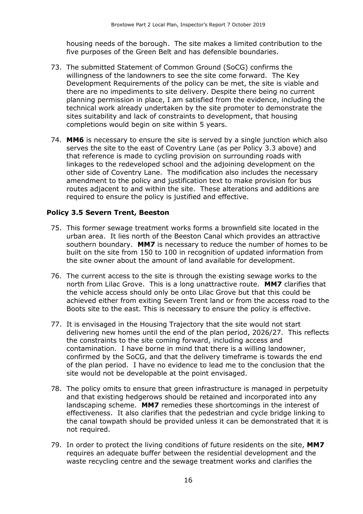housing needs of the borough. The site makes a limited contribution to the five purposes of the Green Belt and has defensible boundaries.

- 73. The submitted Statement of Common Ground (SoCG) confirms the willingness of the landowners to see the site come forward. The Key Development Requirements of the policy can be met, the site is viable and there are no impediments to site delivery. Despite there being no current planning permission in place, I am satisfied from the evidence, including the technical work already undertaken by the site promoter to demonstrate the sites suitability and lack of constraints to development, that housing completions would begin on site within 5 years.
- 74. **MM6** is necessary to ensure the site is served by a single junction which also serves the site to the east of Coventry Lane (as per Policy 3.3 above) and that reference is made to cycling provision on surrounding roads with linkages to the redeveloped school and the adjoining development on the other side of Coventry Lane. The modification also includes the necessary amendment to the policy and justification text to make provision for bus routes adjacent to and within the site. These alterations and additions are required to ensure the policy is justified and effective.

#### **Policy 3.5 Severn Trent, Beeston**

- 75. This former sewage treatment works forms a brownfield site located in the urban area. It lies north of the Beeston Canal which provides an attractive southern boundary. **MM7** is necessary to reduce the number of homes to be built on the site from 150 to 100 in recognition of updated information from the site owner about the amount of land available for development.
- 76. The current access to the site is through the existing sewage works to the north from Lilac Grove. This is a long unattractive route. **MM7** clarifies that the vehicle access should only be onto Lilac Grove but that this could be achieved either from exiting Severn Trent land or from the access road to the Boots site to the east. This is necessary to ensure the policy is effective.
- 77. It is envisaged in the Housing Trajectory that the site would not start delivering new homes until the end of the plan period, 2026/27. This reflects the constraints to the site coming forward, including access and contamination. I have borne in mind that there is a willing landowner, confirmed by the SoCG, and that the delivery timeframe is towards the end of the plan period. I have no evidence to lead me to the conclusion that the site would not be developable at the point envisaged.
- 78. The policy omits to ensure that green infrastructure is managed in perpetuity and that existing hedgerows should be retained and incorporated into any landscaping scheme. **MM7** remedies these shortcomings in the interest of effectiveness. It also clarifies that the pedestrian and cycle bridge linking to the canal towpath should be provided unless it can be demonstrated that it is not required.
- 79. In order to protect the living conditions of future residents on the site, **MM7**  requires an adequate buffer between the residential development and the waste recycling centre and the sewage treatment works and clarifies the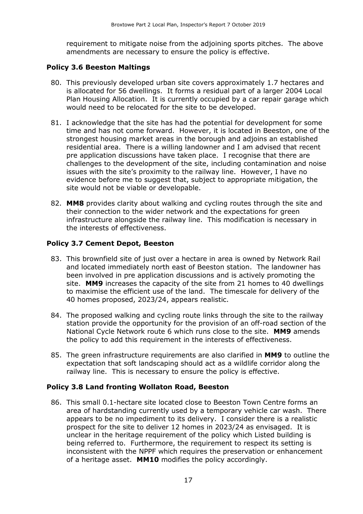requirement to mitigate noise from the adjoining sports pitches. The above amendments are necessary to ensure the policy is effective.

#### **Policy 3.6 Beeston Maltings**

- 80. This previously developed urban site covers approximately 1.7 hectares and is allocated for 56 dwellings. It forms a residual part of a larger 2004 Local Plan Housing Allocation. It is currently occupied by a car repair garage which would need to be relocated for the site to be developed.
- 81. I acknowledge that the site has had the potential for development for some time and has not come forward. However, it is located in Beeston, one of the strongest housing market areas in the borough and adjoins an established residential area. There is a willing landowner and I am advised that recent pre application discussions have taken place. I recognise that there are challenges to the development of the site, including contamination and noise issues with the site's proximity to the railway line. However, I have no evidence before me to suggest that, subject to appropriate mitigation, the site would not be viable or developable.
- 82. **MM8** provides clarity about walking and cycling routes through the site and their connection to the wider network and the expectations for green infrastructure alongside the railway line. This modification is necessary in the interests of effectiveness.

#### **Policy 3.7 Cement Depot, Beeston**

- 83. This brownfield site of just over a hectare in area is owned by Network Rail and located immediately north east of Beeston station. The landowner has been involved in pre application discussions and is actively promoting the site. **MM9** increases the capacity of the site from 21 homes to 40 dwellings to maximise the efficient use of the land. The timescale for delivery of the 40 homes proposed, 2023/24, appears realistic.
- 84. The proposed walking and cycling route links through the site to the railway station provide the opportunity for the provision of an off-road section of the National Cycle Network route 6 which runs close to the site. **MM9** amends the policy to add this requirement in the interests of effectiveness.
- 85. The green infrastructure requirements are also clarified in **MM9** to outline the expectation that soft landscaping should act as a wildlife corridor along the railway line. This is necessary to ensure the policy is effective.

#### **Policy 3.8 Land fronting Wollaton Road, Beeston**

86. This small 0.1-hectare site located close to Beeston Town Centre forms an area of hardstanding currently used by a temporary vehicle car wash. There appears to be no impediment to its delivery. I consider there is a realistic prospect for the site to deliver 12 homes in 2023/24 as envisaged. It is unclear in the heritage requirement of the policy which Listed building is being referred to. Furthermore, the requirement to respect its setting is inconsistent with the NPPF which requires the preservation or enhancement of a heritage asset. **MM10** modifies the policy accordingly.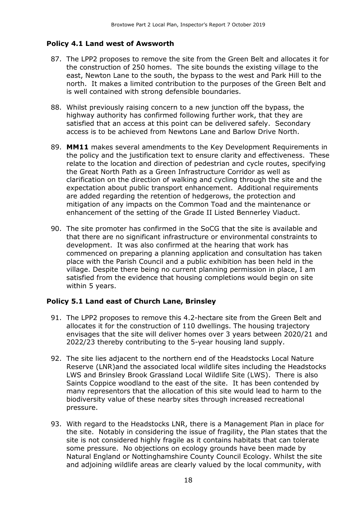#### **Policy 4.1 Land west of Awsworth**

- 87. The LPP2 proposes to remove the site from the Green Belt and allocates it for the construction of 250 homes. The site bounds the existing village to the east, Newton Lane to the south, the bypass to the west and Park Hill to the north. It makes a limited contribution to the purposes of the Green Belt and is well contained with strong defensible boundaries.
- 88. Whilst previously raising concern to a new junction off the bypass, the highway authority has confirmed following further work, that they are satisfied that an access at this point can be delivered safely. Secondary access is to be achieved from Newtons Lane and Barlow Drive North.
- 89. **MM11** makes several amendments to the Key Development Requirements in the policy and the justification text to ensure clarity and effectiveness. These relate to the location and direction of pedestrian and cycle routes, specifying the Great North Path as a Green Infrastructure Corridor as well as clarification on the direction of walking and cycling through the site and the expectation about public transport enhancement. Additional requirements are added regarding the retention of hedgerows, the protection and mitigation of any impacts on the Common Toad and the maintenance or enhancement of the setting of the Grade II Listed Bennerley Viaduct.
- 90. The site promoter has confirmed in the SoCG that the site is available and that there are no significant infrastructure or environmental constraints to development. It was also confirmed at the hearing that work has commenced on preparing a planning application and consultation has taken place with the Parish Council and a public exhibition has been held in the village. Despite there being no current planning permission in place, I am satisfied from the evidence that housing completions would begin on site within 5 years.

#### **Policy 5.1 Land east of Church Lane, Brinsley**

- 91. The LPP2 proposes to remove this 4.2-hectare site from the Green Belt and allocates it for the construction of 110 dwellings. The housing trajectory envisages that the site will deliver homes over 3 years between 2020/21 and 2022/23 thereby contributing to the 5-year housing land supply.
- 92. The site lies adjacent to the northern end of the Headstocks Local Nature Reserve (LNR)and the associated local wildlife sites including the Headstocks LWS and Brinsley Brook Grassland Local Wildlife Site (LWS). There is also Saints Coppice woodland to the east of the site. It has been contended by many representors that the allocation of this site would lead to harm to the biodiversity value of these nearby sites through increased recreational pressure.
- 93. With regard to the Headstocks LNR, there is a Management Plan in place for the site. Notably in considering the issue of fragility, the Plan states that the site is not considered highly fragile as it contains habitats that can tolerate some pressure. No objections on ecology grounds have been made by Natural England or Nottinghamshire County Council Ecology. Whilst the site and adjoining wildlife areas are clearly valued by the local community, with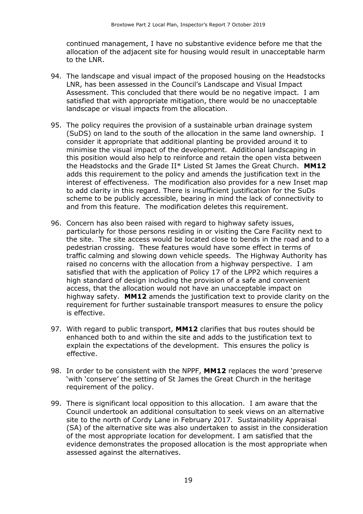continued management, I have no substantive evidence before me that the allocation of the adjacent site for housing would result in unacceptable harm to the LNR.

- 94. The landscape and visual impact of the proposed housing on the Headstocks LNR, has been assessed in the Council's Landscape and Visual Impact Assessment. This concluded that there would be no negative impact. I am satisfied that with appropriate mitigation, there would be no unacceptable landscape or visual impacts from the allocation.
- 95. The policy requires the provision of a sustainable urban drainage system (SuDS) on land to the south of the allocation in the same land ownership. I consider it appropriate that additional planting be provided around it to minimise the visual impact of the development. Additional landscaping in this position would also help to reinforce and retain the open vista between the Headstocks and the Grade II\* Listed St James the Great Church. **MM12** adds this requirement to the policy and amends the justification text in the interest of effectiveness. The modification also provides for a new Inset map to add clarity in this regard. There is insufficient justification for the SuDs scheme to be publicly accessible, bearing in mind the lack of connectivity to and from this feature. The modification deletes this requirement.
- 96. Concern has also been raised with regard to highway safety issues, particularly for those persons residing in or visiting the Care Facility next to the site. The site access would be located close to bends in the road and to a pedestrian crossing. These features would have some effect in terms of traffic calming and slowing down vehicle speeds. The Highway Authority has raised no concerns with the allocation from a highway perspective. I am satisfied that with the application of Policy 17 of the LPP2 which requires a high standard of design including the provision of a safe and convenient access, that the allocation would not have an unacceptable impact on highway safety. **MM12** amends the justification text to provide clarity on the requirement for further sustainable transport measures to ensure the policy is effective.
- 97. With regard to public transport, **MM12** clarifies that bus routes should be enhanced both to and within the site and adds to the justification text to explain the expectations of the development. This ensures the policy is effective.
- 98. In order to be consistent with the NPPF, **MM12** replaces the word 'preserve 'with 'conserve' the setting of St James the Great Church in the heritage requirement of the policy.
- 99. There is significant local opposition to this allocation. I am aware that the Council undertook an additional consultation to seek views on an alternative site to the north of Cordy Lane in February 2017. Sustainability Appraisal (SA) of the alternative site was also undertaken to assist in the consideration of the most appropriate location for development. I am satisfied that the evidence demonstrates the proposed allocation is the most appropriate when assessed against the alternatives.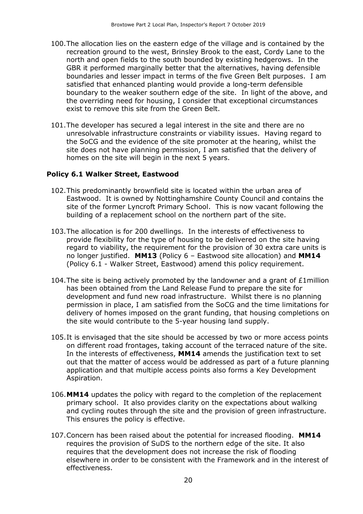- 100.The allocation lies on the eastern edge of the village and is contained by the recreation ground to the west, Brinsley Brook to the east, Cordy Lane to the north and open fields to the south bounded by existing hedgerows. In the GBR it performed marginally better that the alternatives, having defensible boundaries and lesser impact in terms of the five Green Belt purposes. I am satisfied that enhanced planting would provide a long-term defensible boundary to the weaker southern edge of the site. In light of the above, and the overriding need for housing, I consider that exceptional circumstances exist to remove this site from the Green Belt.
- 101.The developer has secured a legal interest in the site and there are no unresolvable infrastructure constraints or viability issues. Having regard to the SoCG and the evidence of the site promoter at the hearing, whilst the site does not have planning permission, I am satisfied that the delivery of homes on the site will begin in the next 5 years.

#### **Policy 6.1 Walker Street, Eastwood**

- 102.This predominantly brownfield site is located within the urban area of Eastwood. It is owned by Nottinghamshire County Council and contains the site of the former Lyncroft Primary School. This is now vacant following the building of a replacement school on the northern part of the site.
- 103.The allocation is for 200 dwellings. In the interests of effectiveness to provide flexibility for the type of housing to be delivered on the site having regard to viability, the requirement for the provision of 30 extra care units is no longer justified. **MM13** (Policy 6 – Eastwood site allocation) and **MM14** (Policy 6.1 - Walker Street, Eastwood) amend this policy requirement.
- 104.The site is being actively promoted by the landowner and a grant of £1million has been obtained from the Land Release Fund to prepare the site for development and fund new road infrastructure. Whilst there is no planning permission in place, I am satisfied from the SoCG and the time limitations for delivery of homes imposed on the grant funding, that housing completions on the site would contribute to the 5-year housing land supply.
- 105.It is envisaged that the site should be accessed by two or more access points on different road frontages, taking account of the terraced nature of the site. In the interests of effectiveness, **MM14** amends the justification text to set out that the matter of access would be addressed as part of a future planning application and that multiple access points also forms a Key Development Aspiration.
- 106.**MM14** updates the policy with regard to the completion of the replacement primary school. It also provides clarity on the expectations about walking and cycling routes through the site and the provision of green infrastructure. This ensures the policy is effective.
- 107.Concern has been raised about the potential for increased flooding. **MM14** requires the provision of SuDS to the northern edge of the site. It also requires that the development does not increase the risk of flooding elsewhere in order to be consistent with the Framework and in the interest of effectiveness.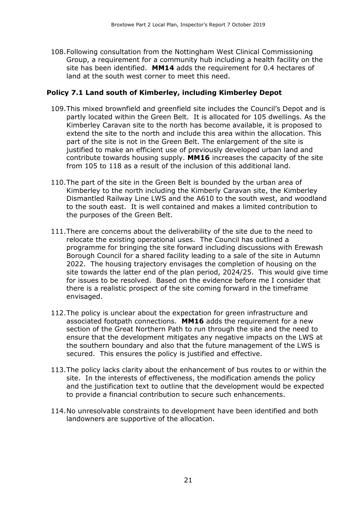108.Following consultation from the Nottingham West Clinical Commissioning Group, a requirement for a community hub including a health facility on the site has been identified. **MM14** adds the requirement for 0.4 hectares of land at the south west corner to meet this need.

#### **Policy 7.1 Land south of Kimberley, including Kimberley Depot**

- 109.This mixed brownfield and greenfield site includes the Council's Depot and is partly located within the Green Belt. It is allocated for 105 dwellings. As the Kimberley Caravan site to the north has become available, it is proposed to extend the site to the north and include this area within the allocation. This part of the site is not in the Green Belt. The enlargement of the site is justified to make an efficient use of previously developed urban land and contribute towards housing supply. **MM16** increases the capacity of the site from 105 to 118 as a result of the inclusion of this additional land.
- 110.The part of the site in the Green Belt is bounded by the urban area of Kimberley to the north including the Kimberly Caravan site, the Kimberley Dismantled Railway Line LWS and the A610 to the south west, and woodland to the south east. It is well contained and makes a limited contribution to the purposes of the Green Belt.
- 111.There are concerns about the deliverability of the site due to the need to relocate the existing operational uses. The Council has outlined a programme for bringing the site forward including discussions with Erewash Borough Council for a shared facility leading to a sale of the site in Autumn 2022. The housing trajectory envisages the completion of housing on the site towards the latter end of the plan period, 2024/25. This would give time for issues to be resolved. Based on the evidence before me I consider that there is a realistic prospect of the site coming forward in the timeframe envisaged.
- 112.The policy is unclear about the expectation for green infrastructure and associated footpath connections. **MM16** adds the requirement for a new section of the Great Northern Path to run through the site and the need to ensure that the development mitigates any negative impacts on the LWS at the southern boundary and also that the future management of the LWS is secured. This ensures the policy is justified and effective.
- 113.The policy lacks clarity about the enhancement of bus routes to or within the site. In the interests of effectiveness, the modification amends the policy and the justification text to outline that the development would be expected to provide a financial contribution to secure such enhancements.
- 114.No unresolvable constraints to development have been identified and both landowners are supportive of the allocation.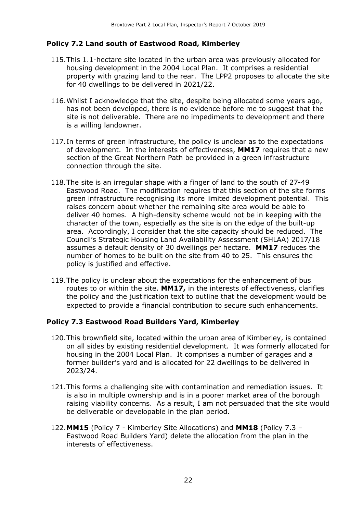#### **Policy 7.2 Land south of Eastwood Road, Kimberley**

- 115.This 1.1-hectare site located in the urban area was previously allocated for housing development in the 2004 Local Plan. It comprises a residential property with grazing land to the rear. The LPP2 proposes to allocate the site for 40 dwellings to be delivered in 2021/22.
- 116.Whilst I acknowledge that the site, despite being allocated some years ago, has not been developed, there is no evidence before me to suggest that the site is not deliverable. There are no impediments to development and there is a willing landowner.
- 117.In terms of green infrastructure, the policy is unclear as to the expectations of development. In the interests of effectiveness, **MM17** requires that a new section of the Great Northern Path be provided in a green infrastructure connection through the site.
- 118.The site is an irregular shape with a finger of land to the south of 27-49 Eastwood Road. The modification requires that this section of the site forms green infrastructure recognising its more limited development potential. This raises concern about whether the remaining site area would be able to deliver 40 homes. A high-density scheme would not be in keeping with the character of the town, especially as the site is on the edge of the built-up area. Accordingly, I consider that the site capacity should be reduced. The Council's Strategic Housing Land Availability Assessment (SHLAA) 2017/18 assumes a default density of 30 dwellings per hectare. **MM17** reduces the number of homes to be built on the site from 40 to 25. This ensures the policy is justified and effective.
- 119.The policy is unclear about the expectations for the enhancement of bus routes to or within the site. **MM17,** in the interests of effectiveness, clarifies the policy and the justification text to outline that the development would be expected to provide a financial contribution to secure such enhancements.

#### **Policy 7.3 Eastwood Road Builders Yard, Kimberley**

- 120.This brownfield site, located within the urban area of Kimberley, is contained on all sides by existing residential development. It was formerly allocated for housing in the 2004 Local Plan. It comprises a number of garages and a former builder's yard and is allocated for 22 dwellings to be delivered in 2023/24.
- 121.This forms a challenging site with contamination and remediation issues. It is also in multiple ownership and is in a poorer market area of the borough raising viability concerns. As a result, I am not persuaded that the site would be deliverable or developable in the plan period.
- 122.**MM15** (Policy 7 Kimberley Site Allocations) and **MM18** (Policy 7.3 Eastwood Road Builders Yard) delete the allocation from the plan in the interests of effectiveness.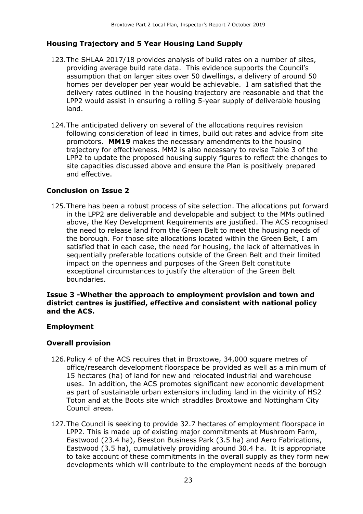#### **Housing Trajectory and 5 Year Housing Land Supply**

- 123.The SHLAA 2017/18 provides analysis of build rates on a number of sites, providing average build rate data. This evidence supports the Council's assumption that on larger sites over 50 dwellings, a delivery of around 50 homes per developer per year would be achievable. I am satisfied that the delivery rates outlined in the housing trajectory are reasonable and that the LPP2 would assist in ensuring a rolling 5-year supply of deliverable housing land.
- 124.The anticipated delivery on several of the allocations requires revision following consideration of lead in times, build out rates and advice from site promotors. **MM19** makes the necessary amendments to the housing trajectory for effectiveness. MM2 is also necessary to revise Table 3 of the LPP2 to update the proposed housing supply figures to reflect the changes to site capacities discussed above and ensure the Plan is positively prepared and effective.

#### **Conclusion on Issue 2**

125.There has been a robust process of site selection. The allocations put forward in the LPP2 are deliverable and developable and subject to the MMs outlined above, the Key Development Requirements are justified. The ACS recognised the need to release land from the Green Belt to meet the housing needs of the borough. For those site allocations located within the Green Belt, I am satisfied that in each case, the need for housing, the lack of alternatives in sequentially preferable locations outside of the Green Belt and their limited impact on the openness and purposes of the Green Belt constitute exceptional circumstances to justify the alteration of the Green Belt boundaries.

#### **Issue 3 -Whether the approach to employment provision and town and district centres is justified, effective and consistent with national policy and the ACS.**

#### **Employment**

#### **Overall provision**

- 126.Policy 4 of the ACS requires that in Broxtowe, 34,000 square metres of office/research development floorspace be provided as well as a minimum of 15 hectares (ha) of land for new and relocated industrial and warehouse uses. In addition, the ACS promotes significant new economic development as part of sustainable urban extensions including land in the vicinity of HS2 Toton and at the Boots site which straddles Broxtowe and Nottingham City Council areas.
- 127.The Council is seeking to provide 32.7 hectares of employment floorspace in LPP2. This is made up of existing major commitments at Mushroom Farm, Eastwood (23.4 ha), Beeston Business Park (3.5 ha) and Aero Fabrications, Eastwood (3.5 ha), cumulatively providing around 30.4 ha. It is appropriate to take account of these commitments in the overall supply as they form new developments which will contribute to the employment needs of the borough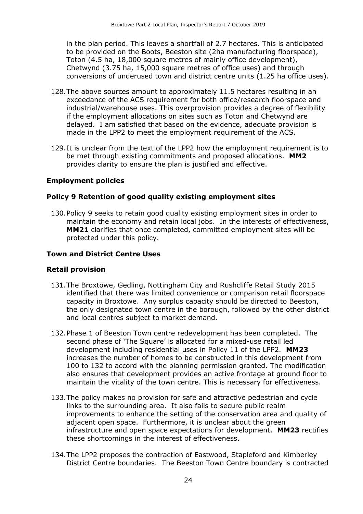in the plan period. This leaves a shortfall of 2.7 hectares. This is anticipated to be provided on the Boots, Beeston site (2ha manufacturing floorspace), Toton (4.5 ha, 18,000 square metres of mainly office development), Chetwynd (3.75 ha, 15,000 square metres of office uses) and through conversions of underused town and district centre units (1.25 ha office uses).

- 128.The above sources amount to approximately 11.5 hectares resulting in an exceedance of the ACS requirement for both office/research floorspace and industrial/warehouse uses. This overprovision provides a degree of flexibility if the employment allocations on sites such as Toton and Chetwynd are delayed. I am satisfied that based on the evidence, adequate provision is made in the LPP2 to meet the employment requirement of the ACS.
- 129.It is unclear from the text of the LPP2 how the employment requirement is to be met through existing commitments and proposed allocations. **MM2** provides clarity to ensure the plan is justified and effective.

#### **Employment policies**

#### **Policy 9 Retention of good quality existing employment sites**

130.Policy 9 seeks to retain good quality existing employment sites in order to maintain the economy and retain local jobs. In the interests of effectiveness, **MM21** clarifies that once completed, committed employment sites will be protected under this policy.

#### **Town and District Centre Uses**

#### **Retail provision**

- 131.The Broxtowe, Gedling, Nottingham City and Rushcliffe Retail Study 2015 identified that there was limited convenience or comparison retail floorspace capacity in Broxtowe. Any surplus capacity should be directed to Beeston, the only designated town centre in the borough, followed by the other district and local centres subject to market demand.
- 132.Phase 1 of Beeston Town centre redevelopment has been completed. The second phase of 'The Square' is allocated for a mixed-use retail led development including residential uses in Policy 11 of the LPP2. **MM23** increases the number of homes to be constructed in this development from 100 to 132 to accord with the planning permission granted. The modification also ensures that development provides an active frontage at ground floor to maintain the vitality of the town centre. This is necessary for effectiveness.
- 133.The policy makes no provision for safe and attractive pedestrian and cycle links to the surrounding area. It also fails to secure public realm improvements to enhance the setting of the conservation area and quality of adjacent open space. Furthermore, it is unclear about the green infrastructure and open space expectations for development. **MM23** rectifies these shortcomings in the interest of effectiveness.
- 134.The LPP2 proposes the contraction of Eastwood, Stapleford and Kimberley District Centre boundaries. The Beeston Town Centre boundary is contracted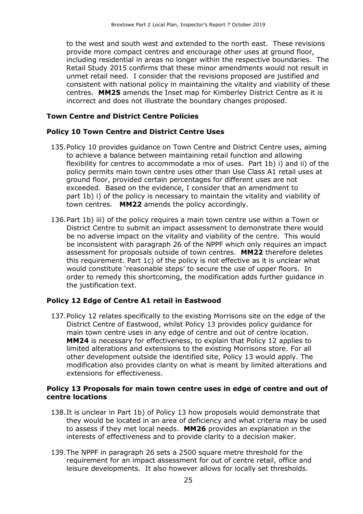to the west and south west and extended to the north east. These revisions provide more compact centres and encourage other uses at ground floor, including residential in areas no longer within the respective boundaries. The Retail Study 2015 confirms that these minor amendments would not result in unmet retail need. I consider that the revisions proposed are justified and consistent with national policy in maintaining the vitality and viability of these centres. **MM25** amends the Inset map for Kimberley District Centre as it is incorrect and does not illustrate the boundary changes proposed.

#### **Town Centre and District Centre Policies**

#### **Policy 10 Town Centre and District Centre Uses**

- 135.Policy 10 provides guidance on Town Centre and District Centre uses, aiming to achieve a balance between maintaining retail function and allowing flexibility for centres to accommodate a mix of uses. Part 1b) i) and ii) of the policy permits main town centre uses other than Use Class A1 retail uses at ground floor, provided certain percentages for different uses are not exceeded. Based on the evidence, I consider that an amendment to part 1b) i) of the policy is necessary to maintain the vitality and viability of town centres. **MM22** amends the policy accordingly.
- 136.Part 1b) iii) of the policy requires a main town centre use within a Town or District Centre to submit an impact assessment to demonstrate there would be no adverse impact on the vitality and viability of the centre. This would be inconsistent with paragraph 26 of the NPPF which only requires an impact assessment for proposals outside of town centres. **MM22** therefore deletes this requirement. Part 1c) of the policy is not effective as it is unclear what would constitute 'reasonable steps' to secure the use of upper floors. In order to remedy this shortcoming, the modification adds further guidance in the justification text.

#### **Policy 12 Edge of Centre A1 retail in Eastwood**

137.Policy 12 relates specifically to the existing Morrisons site on the edge of the District Centre of Eastwood, whilst Policy 13 provides policy guidance for main town centre uses in any edge of centre and out of centre location. **MM24** is necessary for effectiveness, to explain that Policy 12 applies to limited alterations and extensions to the existing Morrisons store. For all other development outside the identified site, Policy 13 would apply. The modification also provides clarity on what is meant by limited alterations and extensions for effectiveness.

#### **Policy 13 Proposals for main town centre uses in edge of centre and out of centre locations**

- 138.It is unclear in Part 1b) of Policy 13 how proposals would demonstrate that they would be located in an area of deficiency and what criteria may be used to assess if they met local needs. **MM26** provides an explanation in the interests of effectiveness and to provide clarity to a decision maker.
- 139.The NPPF in paragraph 26 sets a 2500 square metre threshold for the requirement for an impact assessment for out of centre retail, office and leisure developments. It also however allows for locally set thresholds.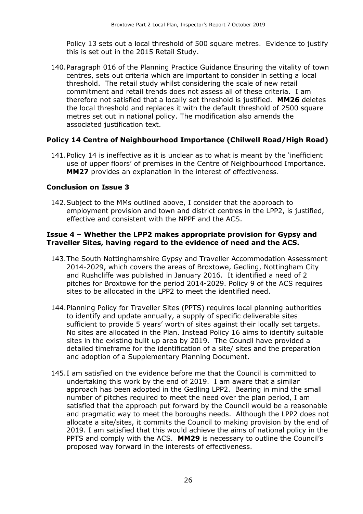Policy 13 sets out a local threshold of 500 square metres. Evidence to justify this is set out in the 2015 Retail Study.

140.Paragraph 016 of the Planning Practice Guidance Ensuring the vitality of town centres, sets out criteria which are important to consider in setting a local threshold. The retail study whilst considering the scale of new retail commitment and retail trends does not assess all of these criteria. I am therefore not satisfied that a locally set threshold is justified. **MM26** deletes the local threshold and replaces it with the default threshold of 2500 square metres set out in national policy. The modification also amends the associated justification text.

#### **Policy 14 Centre of Neighbourhood Importance (Chilwell Road/High Road)**

141.Policy 14 is ineffective as it is unclear as to what is meant by the 'inefficient use of upper floors' of premises in the Centre of Neighbourhood Importance. **MM27** provides an explanation in the interest of effectiveness.

#### **Conclusion on Issue 3**

142.Subject to the MMs outlined above, I consider that the approach to employment provision and town and district centres in the LPP2, is justified, effective and consistent with the NPPF and the ACS.

#### **Issue 4 – Whether the LPP2 makes appropriate provision for Gypsy and Traveller Sites, having regard to the evidence of need and the ACS.**

- 143.The South Nottinghamshire Gypsy and Traveller Accommodation Assessment 2014-2029, which covers the areas of Broxtowe, Gedling, Nottingham City and Rushcliffe was published in January 2016. It identified a need of 2 pitches for Broxtowe for the period 2014-2029. Policy 9 of the ACS requires sites to be allocated in the LPP2 to meet the identified need.
- 144.Planning Policy for Traveller Sites (PPTS) requires local planning authorities to identify and update annually, a supply of specific deliverable sites sufficient to provide 5 years' worth of sites against their locally set targets. No sites are allocated in the Plan. Instead Policy 16 aims to identify suitable sites in the existing built up area by 2019. The Council have provided a detailed timeframe for the identification of a site/ sites and the preparation and adoption of a Supplementary Planning Document.
- 145.I am satisfied on the evidence before me that the Council is committed to undertaking this work by the end of 2019. I am aware that a similar approach has been adopted in the Gedling LPP2. Bearing in mind the small number of pitches required to meet the need over the plan period, I am satisfied that the approach put forward by the Council would be a reasonable and pragmatic way to meet the boroughs needs. Although the LPP2 does not allocate a site/sites, it commits the Council to making provision by the end of 2019. I am satisfied that this would achieve the aims of national policy in the PPTS and comply with the ACS. **MM29** is necessary to outline the Council's proposed way forward in the interests of effectiveness.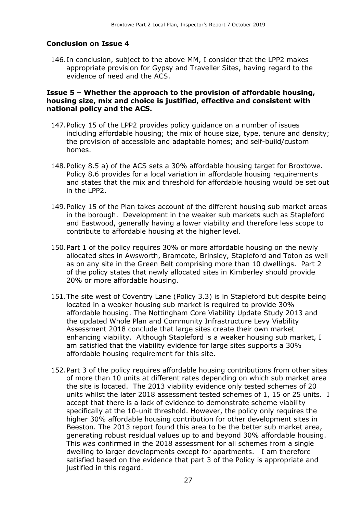#### **Conclusion on Issue 4**

146.In conclusion, subject to the above MM, I consider that the LPP2 makes appropriate provision for Gypsy and Traveller Sites, having regard to the evidence of need and the ACS.

#### **Issue 5 – Whether the approach to the provision of affordable housing, housing size, mix and choice is justified, effective and consistent with national policy and the ACS.**

- 147.Policy 15 of the LPP2 provides policy guidance on a number of issues including affordable housing; the mix of house size, type, tenure and density; the provision of accessible and adaptable homes; and self-build/custom homes.
- 148.Policy 8.5 a) of the ACS sets a 30% affordable housing target for Broxtowe. Policy 8.6 provides for a local variation in affordable housing requirements and states that the mix and threshold for affordable housing would be set out in the LPP2.
- 149.Policy 15 of the Plan takes account of the different housing sub market areas in the borough. Development in the weaker sub markets such as Stapleford and Eastwood, generally having a lower viability and therefore less scope to contribute to affordable housing at the higher level.
- 150.Part 1 of the policy requires 30% or more affordable housing on the newly allocated sites in Awsworth, Bramcote, Brinsley, Stapleford and Toton as well as on any site in the Green Belt comprising more than 10 dwellings. Part 2 of the policy states that newly allocated sites in Kimberley should provide 20% or more affordable housing.
- 151.The site west of Coventry Lane (Policy 3.3) is in Stapleford but despite being located in a weaker housing sub market is required to provide 30% affordable housing. The Nottingham Core Viability Update Study 2013 and the updated Whole Plan and Community Infrastructure Levy Viability Assessment 2018 conclude that large sites create their own market enhancing viability. Although Stapleford is a weaker housing sub market, I am satisfied that the viability evidence for large sites supports a 30% affordable housing requirement for this site.
- 152.Part 3 of the policy requires affordable housing contributions from other sites of more than 10 units at different rates depending on which sub market area the site is located. The 2013 viability evidence only tested schemes of 20 units whilst the later 2018 assessment tested schemes of 1, 15 or 25 units. I accept that there is a lack of evidence to demonstrate scheme viability specifically at the 10-unit threshold. However, the policy only requires the higher 30% affordable housing contribution for other development sites in Beeston. The 2013 report found this area to be the better sub market area, generating robust residual values up to and beyond 30% affordable housing. This was confirmed in the 2018 assessment for all schemes from a single dwelling to larger developments except for apartments. I am therefore satisfied based on the evidence that part 3 of the Policy is appropriate and justified in this regard.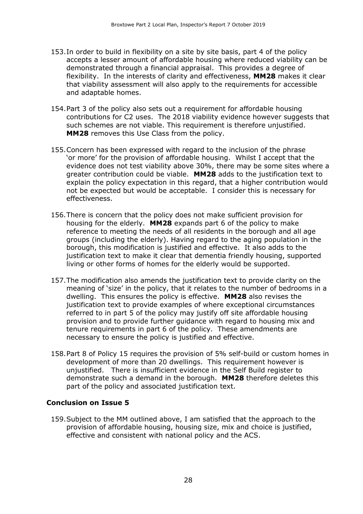- 153.In order to build in flexibility on a site by site basis, part 4 of the policy accepts a lesser amount of affordable housing where reduced viability can be demonstrated through a financial appraisal. This provides a degree of flexibility. In the interests of clarity and effectiveness, **MM28** makes it clear that viability assessment will also apply to the requirements for accessible and adaptable homes.
- 154.Part 3 of the policy also sets out a requirement for affordable housing contributions for C2 uses. The 2018 viability evidence however suggests that such schemes are not viable. This requirement is therefore unjustified. **MM28** removes this Use Class from the policy.
- 155.Concern has been expressed with regard to the inclusion of the phrase 'or more' for the provision of affordable housing. Whilst I accept that the evidence does not test viability above 30%, there may be some sites where a greater contribution could be viable. **MM28** adds to the justification text to explain the policy expectation in this regard, that a higher contribution would not be expected but would be acceptable. I consider this is necessary for effectiveness.
- 156.There is concern that the policy does not make sufficient provision for housing for the elderly. **MM28** expands part 6 of the policy to make reference to meeting the needs of all residents in the borough and all age groups (including the elderly). Having regard to the aging population in the borough, this modification is justified and effective. It also adds to the justification text to make it clear that dementia friendly housing, supported living or other forms of homes for the elderly would be supported.
- 157.The modification also amends the justification text to provide clarity on the meaning of 'size' in the policy, that it relates to the number of bedrooms in a dwelling. This ensures the policy is effective. **MM28** also revises the justification text to provide examples of where exceptional circumstances referred to in part 5 of the policy may justify off site affordable housing provision and to provide further guidance with regard to housing mix and tenure requirements in part 6 of the policy. These amendments are necessary to ensure the policy is justified and effective.
- 158.Part 8 of Policy 15 requires the provision of 5% self-build or custom homes in development of more than 20 dwellings. This requirement however is unjustified. There is insufficient evidence in the Self Build register to demonstrate such a demand in the borough. **MM28** therefore deletes this part of the policy and associated justification text.

#### **Conclusion on Issue 5**

159.Subject to the MM outlined above, I am satisfied that the approach to the provision of affordable housing, housing size, mix and choice is justified, effective and consistent with national policy and the ACS.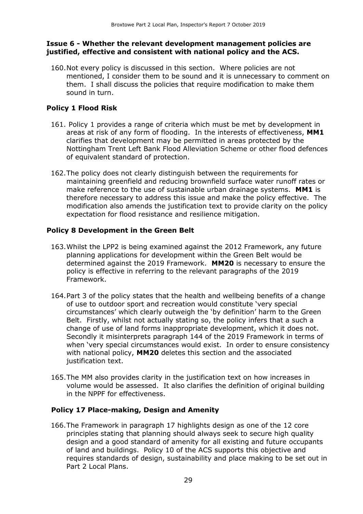#### **Issue 6 - Whether the relevant development management policies are justified, effective and consistent with national policy and the ACS.**

160.Not every policy is discussed in this section. Where policies are not mentioned, I consider them to be sound and it is unnecessary to comment on them. I shall discuss the policies that require modification to make them sound in turn.

#### **Policy 1 Flood Risk**

- 161. Policy 1 provides a range of criteria which must be met by development in areas at risk of any form of flooding. In the interests of effectiveness, **MM1** clarifies that development may be permitted in areas protected by the Nottingham Trent Left Bank Flood Alleviation Scheme or other flood defences of equivalent standard of protection.
- 162.The policy does not clearly distinguish between the requirements for maintaining greenfield and reducing brownfield surface water runoff rates or make reference to the use of sustainable urban drainage systems. **MM1** is therefore necessary to address this issue and make the policy effective. The modification also amends the justification text to provide clarity on the policy expectation for flood resistance and resilience mitigation.

#### **Policy 8 Development in the Green Belt**

- 163.Whilst the LPP2 is being examined against the 2012 Framework, any future planning applications for development within the Green Belt would be determined against the 2019 Framework. **MM20** is necessary to ensure the policy is effective in referring to the relevant paragraphs of the 2019 Framework.
- 164.Part 3 of the policy states that the health and wellbeing benefits of a change of use to outdoor sport and recreation would constitute 'very special circumstances' which clearly outweigh the 'by definition' harm to the Green Belt. Firstly, whilst not actually stating so, the policy infers that a such a change of use of land forms inappropriate development, which it does not. Secondly it misinterprets paragraph 144 of the 2019 Framework in terms of when 'very special circumstances would exist. In order to ensure consistency with national policy, **MM20** deletes this section and the associated justification text.
- 165.The MM also provides clarity in the justification text on how increases in volume would be assessed. It also clarifies the definition of original building in the NPPF for effectiveness.

#### **Policy 17 Place-making, Design and Amenity**

166.The Framework in paragraph 17 highlights design as one of the 12 core principles stating that planning should always seek to secure high quality design and a good standard of amenity for all existing and future occupants of land and buildings. Policy 10 of the ACS supports this objective and requires standards of design, sustainability and place making to be set out in Part 2 Local Plans.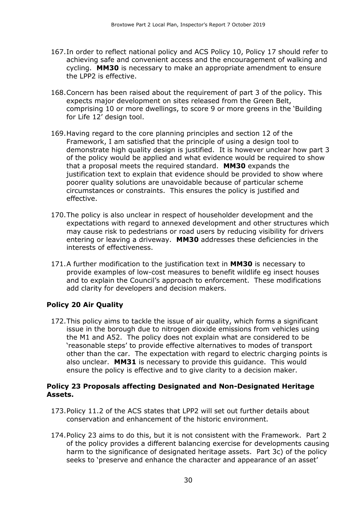- 167.In order to reflect national policy and ACS Policy 10, Policy 17 should refer to achieving safe and convenient access and the encouragement of walking and cycling. **MM30** is necessary to make an appropriate amendment to ensure the LPP2 is effective.
- 168.Concern has been raised about the requirement of part 3 of the policy. This expects major development on sites released from the Green Belt, comprising 10 or more dwellings, to score 9 or more greens in the 'Building for Life 12' design tool.
- 169.Having regard to the core planning principles and section 12 of the Framework, I am satisfied that the principle of using a design tool to demonstrate high quality design is justified. It is however unclear how part 3 of the policy would be applied and what evidence would be required to show that a proposal meets the required standard. **MM30** expands the justification text to explain that evidence should be provided to show where poorer quality solutions are unavoidable because of particular scheme circumstances or constraints. This ensures the policy is justified and effective.
- 170.The policy is also unclear in respect of householder development and the expectations with regard to annexed development and other structures which may cause risk to pedestrians or road users by reducing visibility for drivers entering or leaving a driveway. **MM30** addresses these deficiencies in the interests of effectiveness.
- 171.A further modification to the justification text in **MM30** is necessary to provide examples of low-cost measures to benefit wildlife eg insect houses and to explain the Council's approach to enforcement. These modifications add clarity for developers and decision makers.

#### **Policy 20 Air Quality**

172.This policy aims to tackle the issue of air quality, which forms a significant issue in the borough due to nitrogen dioxide emissions from vehicles using the M1 and A52. The policy does not explain what are considered to be 'reasonable steps' to provide effective alternatives to modes of transport other than the car. The expectation with regard to electric charging points is also unclear. **MM31** is necessary to provide this guidance. This would ensure the policy is effective and to give clarity to a decision maker.

#### **Policy 23 Proposals affecting Designated and Non-Designated Heritage Assets.**

- 173.Policy 11.2 of the ACS states that LPP2 will set out further details about conservation and enhancement of the historic environment.
- 174.Policy 23 aims to do this, but it is not consistent with the Framework. Part 2 of the policy provides a different balancing exercise for developments causing harm to the significance of designated heritage assets. Part 3c) of the policy seeks to 'preserve and enhance the character and appearance of an asset'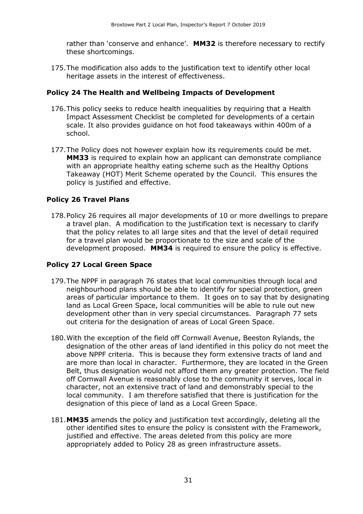rather than 'conserve and enhance'. **MM32** is therefore necessary to rectify these shortcomings.

175.The modification also adds to the justification text to identify other local heritage assets in the interest of effectiveness.

#### **Policy 24 The Health and Wellbeing Impacts of Development**

- 176.This policy seeks to reduce health inequalities by requiring that a Health Impact Assessment Checklist be completed for developments of a certain scale. It also provides guidance on hot food takeaways within 400m of a school.
- 177.The Policy does not however explain how its requirements could be met. **MM33** is required to explain how an applicant can demonstrate compliance with an appropriate healthy eating scheme such as the Healthy Options Takeaway (HOT) Merit Scheme operated by the Council. This ensures the policy is justified and effective.

#### **Policy 26 Travel Plans**

178.Policy 26 requires all major developments of 10 or more dwellings to prepare a travel plan. A modification to the justification text is necessary to clarify that the policy relates to all large sites and that the level of detail required for a travel plan would be proportionate to the size and scale of the development proposed. **MM34** is required to ensure the policy is effective.

#### **Policy 27 Local Green Space**

- 179.The NPPF in paragraph 76 states that local communities through local and neighbourhood plans should be able to identify for special protection, green areas of particular importance to them. It goes on to say that by designating land as Local Green Space, local communities will be able to rule out new development other than in very special circumstances. Paragraph 77 sets out criteria for the designation of areas of Local Green Space.
- 180.With the exception of the field off Cornwall Avenue, Beeston Rylands, the designation of the other areas of land identified in this policy do not meet the above NPPF criteria. This is because they form extensive tracts of land and are more than local in character. Furthermore, they are located in the Green Belt, thus designation would not afford them any greater protection. The field off Cornwall Avenue is reasonably close to the community it serves, local in character, not an extensive tract of land and demonstrably special to the local community. I am therefore satisfied that there is justification for the designation of this piece of land as a Local Green Space.
- 181.**MM35** amends the policy and justification text accordingly, deleting all the other identified sites to ensure the policy is consistent with the Framework, justified and effective. The areas deleted from this policy are more appropriately added to Policy 28 as green infrastructure assets.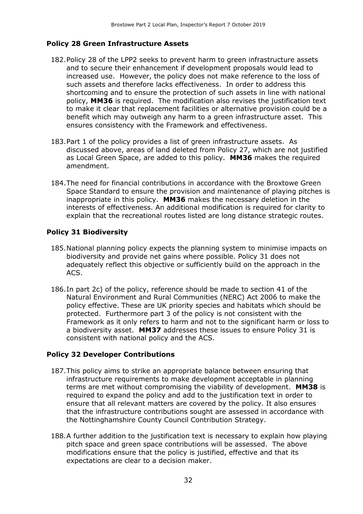#### **Policy 28 Green Infrastructure Assets**

- 182.Policy 28 of the LPP2 seeks to prevent harm to green infrastructure assets and to secure their enhancement if development proposals would lead to increased use. However, the policy does not make reference to the loss of such assets and therefore lacks effectiveness. In order to address this shortcoming and to ensure the protection of such assets in line with national policy, **MM36** is required. The modification also revises the justification text to make it clear that replacement facilities or alternative provision could be a benefit which may outweigh any harm to a green infrastructure asset. This ensures consistency with the Framework and effectiveness.
- 183.Part 1 of the policy provides a list of green infrastructure assets. As discussed above, areas of land deleted from Policy 27, which are not justified as Local Green Space, are added to this policy. **MM36** makes the required amendment.
- 184.The need for financial contributions in accordance with the Broxtowe Green Space Standard to ensure the provision and maintenance of playing pitches is inappropriate in this policy. **MM36** makes the necessary deletion in the interests of effectiveness. An additional modification is required for clarity to explain that the recreational routes listed are long distance strategic routes.

#### **Policy 31 Biodiversity**

- 185.National planning policy expects the planning system to minimise impacts on biodiversity and provide net gains where possible. Policy 31 does not adequately reflect this objective or sufficiently build on the approach in the ACS.
- 186.In part 2c) of the policy, reference should be made to section 41 of the Natural Environment and Rural Communities (NERC) Act 2006 to make the policy effective. These are UK priority species and habitats which should be protected. Furthermore part 3 of the policy is not consistent with the Framework as it only refers to harm and not to the significant harm or loss to a biodiversity asset. **MM37** addresses these issues to ensure Policy 31 is consistent with national policy and the ACS.

#### **Policy 32 Developer Contributions**

- 187.This policy aims to strike an appropriate balance between ensuring that infrastructure requirements to make development acceptable in planning terms are met without compromising the viability of development. **MM38** is required to expand the policy and add to the justification text in order to ensure that all relevant matters are covered by the policy. It also ensures that the infrastructure contributions sought are assessed in accordance with the Nottinghamshire County Council Contribution Strategy.
- 188.A further addition to the justification text is necessary to explain how playing pitch space and green space contributions will be assessed. The above modifications ensure that the policy is justified, effective and that its expectations are clear to a decision maker.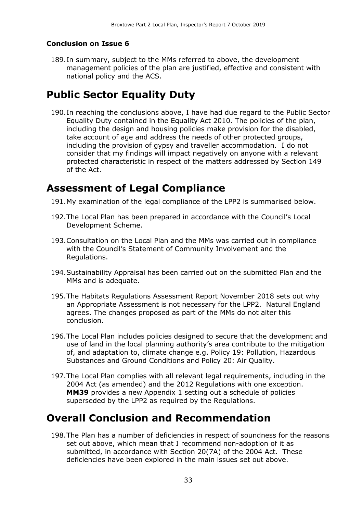#### **Conclusion on Issue 6**

189.In summary, subject to the MMs referred to above, the development management policies of the plan are justified, effective and consistent with national policy and the ACS.

## **Public Sector Equality Duty**

190.In reaching the conclusions above, I have had due regard to the Public Sector Equality Duty contained in the Equality Act 2010. The policies of the plan, including the design and housing policies make provision for the disabled, take account of age and address the needs of other protected groups, including the provision of gypsy and traveller accommodation. I do not consider that my findings will impact negatively on anyone with a relevant protected characteristic in respect of the matters addressed by Section 149 of the Act.

### **Assessment of Legal Compliance**

- 191.My examination of the legal compliance of the LPP2 is summarised below.
- 192.The Local Plan has been prepared in accordance with the Council's Local Development Scheme.
- 193.Consultation on the Local Plan and the MMs was carried out in compliance with the Council's Statement of Community Involvement and the Regulations.
- 194.Sustainability Appraisal has been carried out on the submitted Plan and the MMs and is adequate.
- 195.The Habitats Regulations Assessment Report November 2018 sets out why an Appropriate Assessment is not necessary for the LPP2. Natural England agrees. The changes proposed as part of the MMs do not alter this conclusion.
- 196.The Local Plan includes policies designed to secure that the development and use of land in the local planning authority's area contribute to the mitigation of, and adaptation to, climate change e.g. Policy 19: Pollution, Hazardous Substances and Ground Conditions and Policy 20: Air Quality.
- 197.The Local Plan complies with all relevant legal requirements, including in the 2004 Act (as amended) and the 2012 Regulations with one exception. **MM39** provides a new Appendix 1 setting out a schedule of policies superseded by the LPP2 as required by the Regulations.

### **Overall Conclusion and Recommendation**

198.The Plan has a number of deficiencies in respect of soundness for the reasons set out above, which mean that I recommend non-adoption of it as submitted, in accordance with Section 20(7A) of the 2004 Act. These deficiencies have been explored in the main issues set out above.